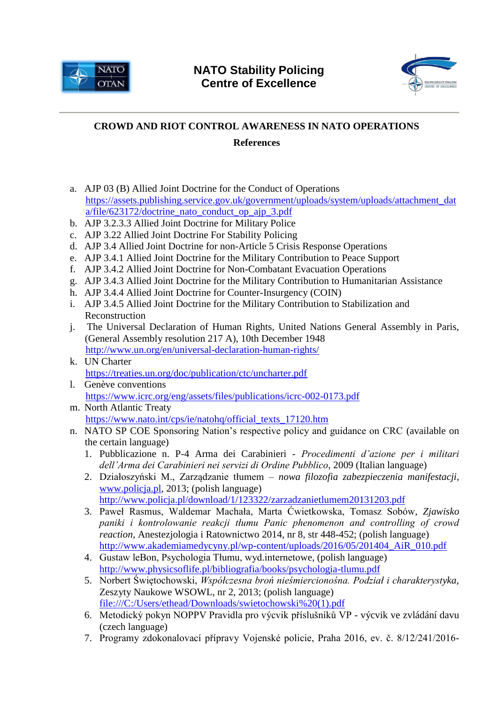



## **[CROWD AND RIOT CONTROL AWARENESS IN NATO OPERATIONS](http://www.nspcoe.org/courses/residential-courses/2018-2/crowd-and-riot-control-(crc)-awareness-in-nato-operations)**

## **References**

- a. AJP 03 (B) Allied Joint Doctrine for the Conduct of Operations [https://assets.publishing.service.gov.uk/government/uploads/system/uploads/attachment\\_dat](https://assets.publishing.service.gov.uk/government/uploads/system/uploads/attachment_data/file/623172/doctrine_nato_conduct_op_ajp_3.pdf) [a/file/623172/doctrine\\_nato\\_conduct\\_op\\_ajp\\_3.pdf](https://assets.publishing.service.gov.uk/government/uploads/system/uploads/attachment_data/file/623172/doctrine_nato_conduct_op_ajp_3.pdf)
- b. AJP 3.2.3.3 Allied Joint Doctrine for Military Police
- c. AJP 3.22 Allied Joint Doctrine For Stability Policing
- d. AJP 3.4 Allied Joint Doctrine for non-Article 5 Crisis Response Operations
- e. AJP 3.4.1 Allied Joint Doctrine for the Military Contribution to Peace Support
- f. AJP 3.4.2 Allied Joint Doctrine for Non-Combatant Evacuation Operations
- g. AJP 3.4.3 Allied Joint Doctrine for the Military Contribution to Humanitarian Assistance
- h. AJP 3.4.4 Allied Joint Doctrine for Counter-Insurgency (COIN)
- i. AJP 3.4.5 Allied Joint Doctrine for the Military Contribution to Stabilization and Reconstruction
- j. The Universal Declaration of Human Rights, United Nations General Assembly in Paris, [\(General Assembly resolution 217 A\)](http://www.un.org/en/ga/search/view_doc.asp?symbol=A/RES/217(III)), 10th December 1948 <http://www.un.org/en/universal-declaration-human-rights/>
- k. UN Charter <https://treaties.un.org/doc/publication/ctc/uncharter.pdf>
- l. Genève conventions <https://www.icrc.org/eng/assets/files/publications/icrc-002-0173.pdf>
- m. North Atlantic Treaty [https://www.nato.int/cps/ie/natohq/official\\_texts\\_17120.htm](https://www.nato.int/cps/ie/natohq/official_texts_17120.htm)
- n. NATO SP COE Sponsoring Nation's respective policy and guidance on CRC (available on the certain language)
	- 1. Pubblicazione n. P-4 Arma dei Carabinieri *Procedimenti d'azione per i militari dell'Arma dei Carabinieri nei servizi di Ordine Pubblico*, 2009 (Italian language)
	- 2. Działoszyński M., Zarządzanie tłumem *nowa filozofia zabezpieczenia manifestacji*, [www.policja.pl,](http://www.policja.pl/) 2013; (polish language) <http://www.policja.pl/download/1/123322/zarzadzanietlumem20131203.pdf>
	- 3. Paweł Rasmus, Waldemar Machała, Marta Ćwietkowska, Tomasz Sobów, *Zjawisko paniki i kontrolowanie reakcji tłumu Panic phenomenon and controlling of crowd reaction*, Anestezjologia i Ratownictwo 2014, nr 8, str 448-452; (polish language) [http://www.akademiamedycyny.pl/wp-content/uploads/2016/05/201404\\_AiR\\_010.pdf](http://www.akademiamedycyny.pl/wp-content/uploads/2016/05/201404_AiR_010.pdf)
	- 4. Gustaw leBon, Psychologia Tłumu, wyd.internetowe, (polish language) <http://www.physicsoflife.pl/bibliografia/books/psychologia-tlumu.pdf>
	- 5. Norbert Świętochowski, *Współczesna broń nieśmiercionośna. Podział i charakterystyka*, Zeszyty Naukowe WSOWL, nr 2, 2013; (polish language) [file:///C:/Users/ethead/Downloads/swietochowski%20\(1\).pdf](file:///C:/Users/ethead/Downloads/swietochowski%20(1).pdf)
	- 6. Metodický pokyn NOPPV Pravidla pro výcvik příslušníků VP výcvik ve zvládání davu (czech language)
	- 7. Programy zdokonalovací přípravy Vojenské policie, Praha 2016, ev. č. 8/12/241/2016-